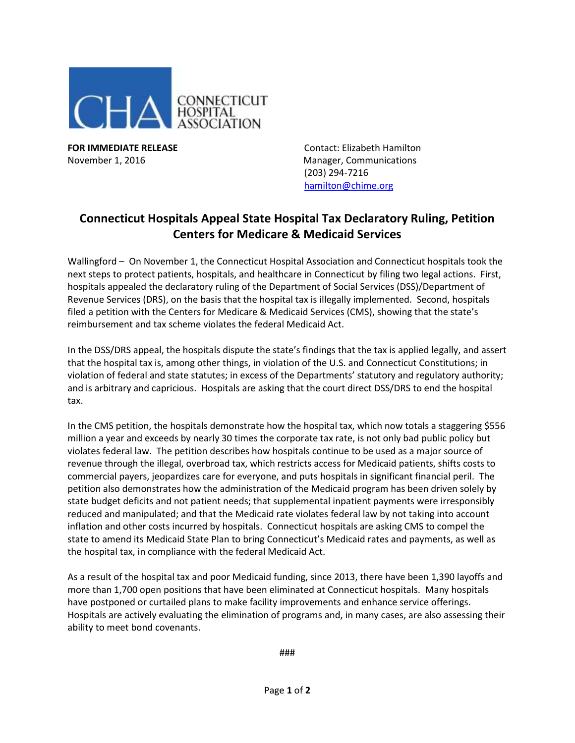

**FOR IMMEDIATE RELEASE Contact: Elizabeth Hamilton** November 1, 2016 Manager, Communications (203) 294-7216 [hamilton@chime.org](mailto:hamilton@chime.org)

## **Connecticut Hospitals Appeal State Hospital Tax Declaratory Ruling, Petition Centers for Medicare & Medicaid Services**

Wallingford – On November 1, the Connecticut Hospital Association and Connecticut hospitals took the next steps to protect patients, hospitals, and healthcare in Connecticut by filing two legal actions. First, hospitals appealed the declaratory ruling of the Department of Social Services (DSS)/Department of Revenue Services (DRS), on the basis that the hospital tax is illegally implemented. Second, hospitals filed a petition with the Centers for Medicare & Medicaid Services (CMS), showing that the state's reimbursement and tax scheme violates the federal Medicaid Act.

In the DSS/DRS appeal, the hospitals dispute the state's findings that the tax is applied legally, and assert that the hospital tax is, among other things, in violation of the U.S. and Connecticut Constitutions; in violation of federal and state statutes; in excess of the Departments' statutory and regulatory authority; and is arbitrary and capricious. Hospitals are asking that the court direct DSS/DRS to end the hospital tax.

In the CMS petition, the hospitals demonstrate how the hospital tax, which now totals a staggering \$556 million a year and exceeds by nearly 30 times the corporate tax rate, is not only bad public policy but violates federal law. The petition describes how hospitals continue to be used as a major source of revenue through the illegal, overbroad tax, which restricts access for Medicaid patients, shifts costs to commercial payers, jeopardizes care for everyone, and puts hospitals in significant financial peril. The petition also demonstrates how the administration of the Medicaid program has been driven solely by state budget deficits and not patient needs; that supplemental inpatient payments were irresponsibly reduced and manipulated; and that the Medicaid rate violates federal law by not taking into account inflation and other costs incurred by hospitals. Connecticut hospitals are asking CMS to compel the state to amend its Medicaid State Plan to bring Connecticut's Medicaid rates and payments, as well as the hospital tax, in compliance with the federal Medicaid Act.

As a result of the hospital tax and poor Medicaid funding, since 2013, there have been 1,390 layoffs and more than 1,700 open positions that have been eliminated at Connecticut hospitals. Many hospitals have postponed or curtailed plans to make facility improvements and enhance service offerings. Hospitals are actively evaluating the elimination of programs and, in many cases, are also assessing their ability to meet bond covenants.

###